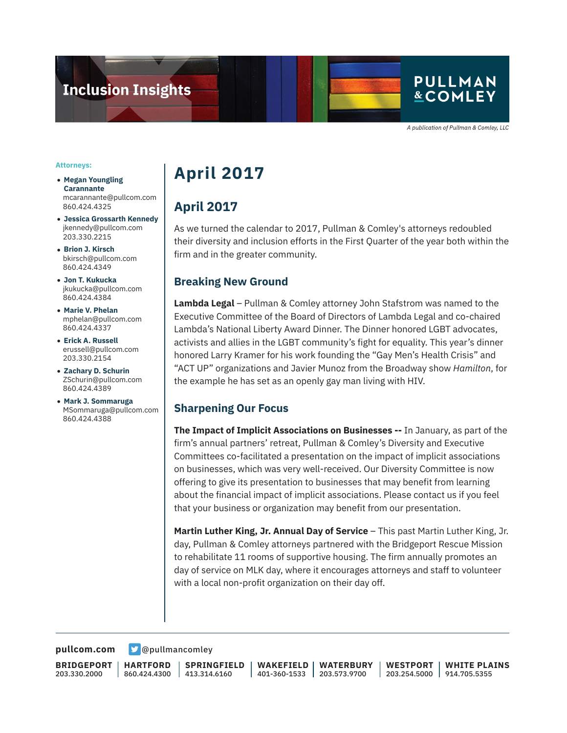

A publication of Pullman & Comley, LLC

#### **Attorneys:**

- **Megan Youngling Carannante** mcarannante@pullcom.com 860.424.4325
- **Jessica Grossarth Kennedy** jkennedy@pullcom.com 203.330.2215
- **Brion J. Kirsch** bkirsch@pullcom.com 860.424.4349
- **Jon T. Kukucka** jkukucka@pullcom.com 860.424.4384
- **Marie V. Phelan** mphelan@pullcom.com 860.424.4337
- **Erick A. Russell** erussell@pullcom.com 203.330.2154
- **Zachary D. Schurin** ZSchurin@pullcom.com 860.424.4389
- **Mark J. Sommaruga** MSommaruga@pullcom.com 860.424.4388

# **April 2017**

## **April 2017**

As we turned the calendar to 2017, Pullman & Comley's attorneys redoubled their diversity and inclusion efforts in the First Quarter of the year both within the firm and in the greater community.

### **Breaking New Ground**

**Lambda Legal** – Pullman & Comley attorney John Stafstrom was named to the Executive Committee of the Board of Directors of Lambda Legal and co-chaired Lambda's National Liberty Award Dinner. The Dinner honored LGBT advocates, activists and allies in the LGBT community's fight for equality. This year's dinner honored Larry Kramer for his work founding the "Gay Men's Health Crisis" and "ACT UP" organizations and Javier Munoz from the Broadway show *Hamilton*, for the example he has set as an openly gay man living with HIV.

### **Sharpening Our Focus**

**The Impact of Implicit Associations on Businesses --** In January, as part of the firm's annual partners' retreat, Pullman & Comley's Diversity and Executive Committees co-facilitated a presentation on the impact of implicit associations on businesses, which was very well-received. Our Diversity Committee is now offering to give its presentation to businesses that may benefit from learning about the financial impact of implicit associations. Please contact us if you feel that your business or organization may benefit from our presentation.

**Martin Luther King, Jr. Annual Day of Service** – This past Martin Luther King, Jr. day, Pullman & Comley attorneys partnered with the Bridgeport Rescue Mission to rehabilitate 11 rooms of supportive housing. The firm annually promotes an day of service on MLK day, where it encourages attorneys and staff to volunteer with a local non-profit organization on their day off.

[pullcom.com](https://www.pullcom.com) **D** [@pullmancomley](https://twitter.com/PullmanComley)

**BRIDGEPORT** 203.330.2000

**HARTFORD** 860.424.4300

**SPRINGFIELD** 413.314.6160

**WAKEFIELD** 401-360-1533 **WATERBURY** 203.573.9700

**WESTPORT** 203.254.5000 **WHITE PLAINS** 914.705.5355